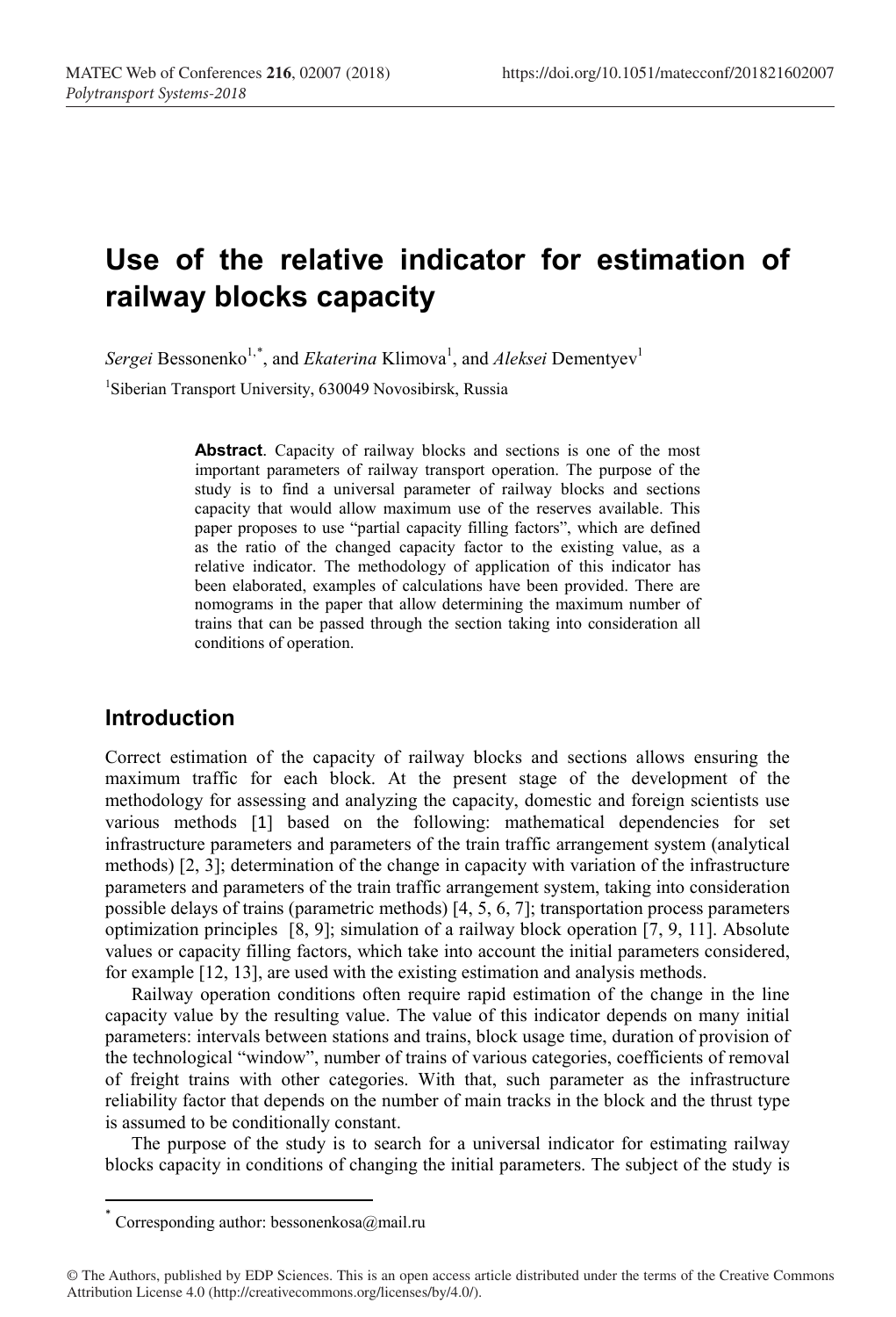# **Use of the relative indicator for estimation of railway blocks capacity**

 $Sergei$  Bessonenko<sup>1,\*</sup>, and *Ekaterina* Klimova<sup>1</sup>, and *Aleksei* Dementyev<sup>1</sup>

1 Siberian Transport University, 630049 Novosibirsk, Russia

**Abstract**. Capacity of railway blocks and sections is one of the most important parameters of railway transport operation. The purpose of the study is to find a universal parameter of railway blocks and sections capacity that would allow maximum use of the reserves available. This paper proposes to use "partial capacity filling factors", which are defined as the ratio of the changed capacity factor to the existing value, as a relative indicator. The methodology of application of this indicator has been elaborated, examples of calculations have been provided. There are nomograms in the paper that allow determining the maximum number of trains that can be passed through the section taking into consideration all conditions of operation.

#### **Introduction**

Correct estimation of the capacity of railway blocks and sections allows ensuring the maximum traffic for each block. At the present stage of the development of the methodology for assessing and analyzing the capacity, domestic and foreign scientists use various methods [1] based on the following: mathematical dependencies for set infrastructure parameters and parameters of the train traffic arrangement system (analytical methods) [2, 3]; determination of the change in capacity with variation of the infrastructure parameters and parameters of the train traffic arrangement system, taking into consideration possible delays of trains (parametric methods) [4, 5, 6, 7]; transportation process parameters optimization principles [8, 9]; simulation of a railway block operation [7, 9, 11]. Absolute values or capacity filling factors, which take into account the initial parameters considered, for example [12, 13], are used with the existing estimation and analysis methods.

Railway operation conditions often require rapid estimation of the change in the line capacity value by the resulting value. The value of this indicator depends on many initial parameters: intervals between stations and trains, block usage time, duration of provision of the technological "window", number of trains of various categories, coefficients of removal of freight trains with other categories. With that, such parameter as the infrastructure reliability factor that depends on the number of main tracks in the block and the thrust type is assumed to be conditionally constant.

The purpose of the study is to search for a universal indicator for estimating railway blocks capacity in conditions of changing the initial parameters. The subject of the study is

Corresponding author: bessonenkosa@mail.ru

<sup>©</sup> The Authors, published by EDP Sciences. This is an open access article distributed under the terms of the Creative Commons Attribution License 4.0 (http://creativecommons.org/licenses/by/4.0/).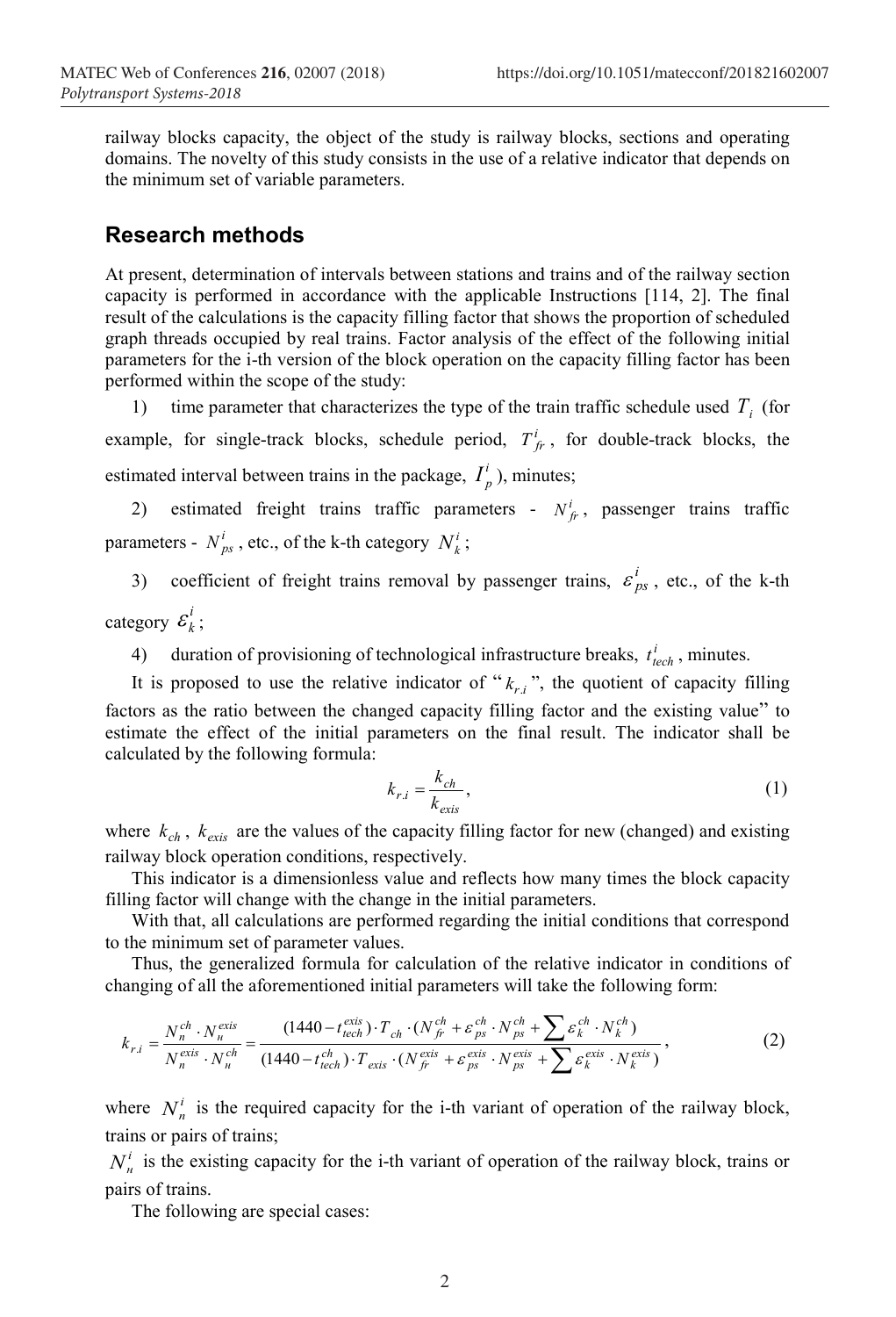railway blocks capacity, the object of the study is railway blocks, sections and operating domains. The novelty of this study consists in the use of a relative indicator that depends on the minimum set of variable parameters.

#### **Research methods**

At present, determination of intervals between stations and trains and of the railway section capacity is performed in accordance with the applicable Instructions [114, 2]. The final result of the calculations is the capacity filling factor that shows the proportion of scheduled graph threads occupied by real trains. Factor analysis of the effect of the following initial parameters for the i-th version of the block operation on the capacity filling factor has been performed within the scope of the study:

1) time parameter that characterizes the type of the train traffic schedule used *Т<sup>i</sup>* (for example, for single-track blocks, schedule period,  $T_f^i$ , for double-track blocks, the estimated interval between trains in the package,  $I_p^i$ ), minutes;

2) estimated freight trains traffic parameters -  $N_f^i$ , passenger trains traffic parameters -  $N_{ps}^i$ , etc., of the k-th category  $N_k^i$ ;

3) coefficient of freight trains removal by passenger trains,  $\varepsilon_{ps}^{i}$ , etc., of the k-th category  $\varepsilon_k^i$ ;

4) duration of provisioning of technological infrastructure breaks,  $t_{tech}^i$ , minutes.

It is proposed to use the relative indicator of " $k_{ri}$ ", the quotient of capacity filling factors as the ratio between the changed capacity filling factor and the existing value" to estimate the effect of the initial parameters on the final result. The indicator shall be calculated by the following formula:

$$
k_{r,i} = \frac{k_{ch}}{k_{exis}},\tag{1}
$$

where  $k_{ch}$ ,  $k_{exis}$  are the values of the capacity filling factor for new (changed) and existing railway block operation conditions, respectively.

This indicator is a dimensionless value and reflects how many times the block capacity filling factor will change with the change in the initial parameters.

With that, all calculations are performed regarding the initial conditions that correspond to the minimum set of parameter values.

Thus, the generalized formula for calculation of the relative indicator in conditions of changing of all the aforementioned initial parameters will take the following form:

$$
k_{r,i} = \frac{N_n^{ch} \cdot N_n^{exis}}{N_n^{exis} \cdot N_n^{ch}} = \frac{(1440 - t_{tech}^{exis}) \cdot T_{ch} \cdot (N_{fr}^{ch} + \varepsilon_{ps}^{ch} \cdot N_{ps}^{ch} + \sum \varepsilon_k^{ch} \cdot N_k^{ch}}{(1440 - t_{tech}^{ch}) \cdot T_{exis} \cdot (N_{fr}^{exis} + \varepsilon_{ps}^{exis} \cdot N_{ps}^{exis} + \sum \varepsilon_k^{exis} \cdot N_k^{exis})},
$$
(2)

where  $N^i$  is the required capacity for the i-th variant of operation of the railway block, trains or pairs of trains;

 $N^i_\nu$  is the existing capacity for the i-th variant of operation of the railway block, trains or pairs of trains.

The following are special cases: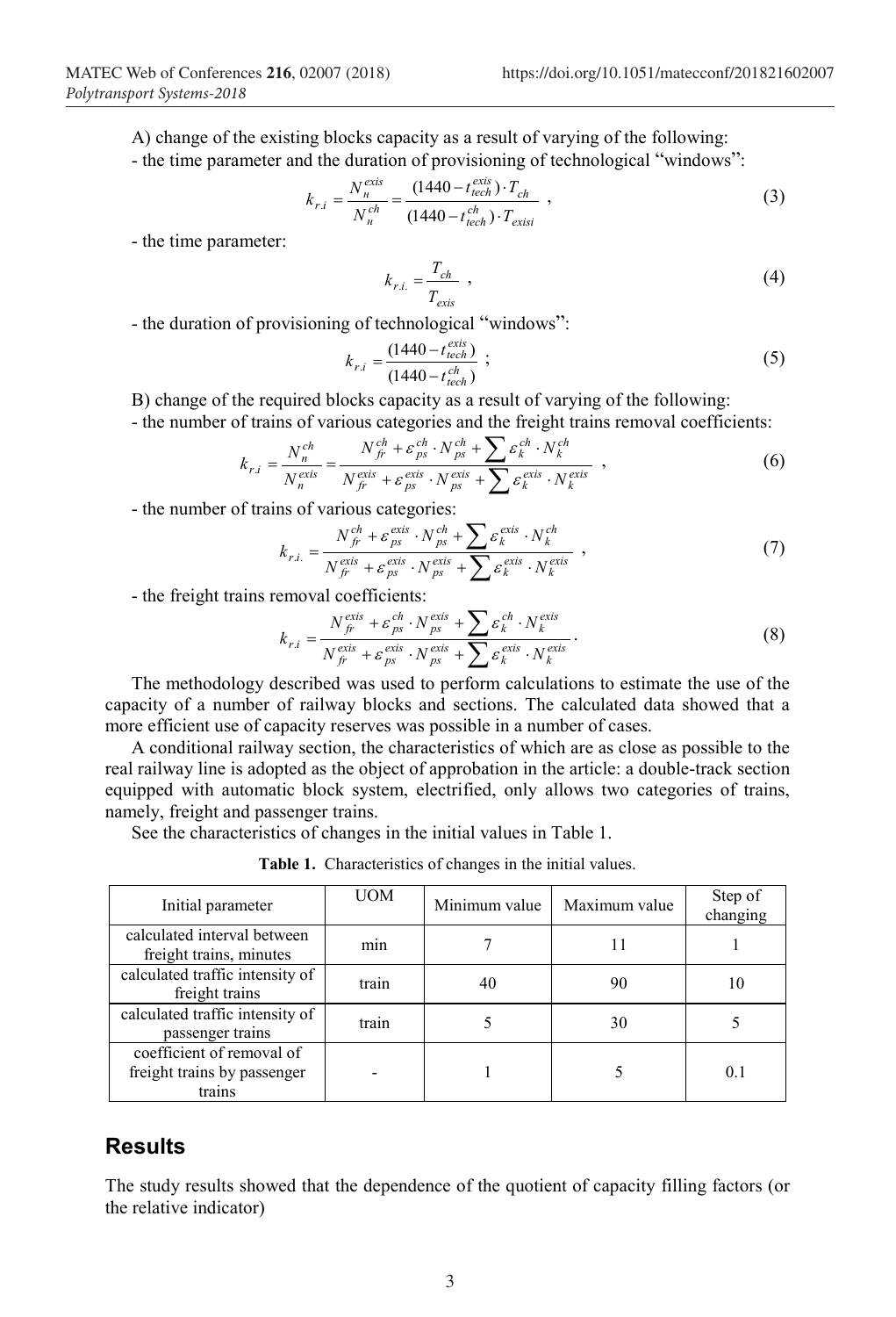А) change of the existing blocks capacity as a result of varying of the following: - the time parameter and the duration of provisioning of technological "windows":

$$
k_{r,i} = \frac{N_{\mu}^{exis}}{N_{\mu}^{ch}} = \frac{(1440 - t_{tech}^{exis}) \cdot T_{ch}}{(1440 - t_{tech}^{ch}) \cdot T_{exisi}} \tag{3}
$$

- the time parameter:

$$
k_{r.i.} = \frac{T_{ch}}{T_{exis}} \tag{4}
$$

- the duration of provisioning of technological "windows":

$$
k_{r,i} = \frac{(1440 - t_{tech}^{exis})}{(1440 - t_{tech}^{ch})} ;
$$
 (5)

B) change of the required blocks capacity as a result of varying of the following:

- the number of trains of various categories and the freight trains removal coefficients:

$$
k_{r,i} = \frac{N_n^{ch}}{N_n^{exis}} = \frac{N_{f\dot{r}}^{ch} + \varepsilon_{ps}^{ch} \cdot N_{ps}^{ch} + \sum \varepsilon_k^{ch} \cdot N_k^{ch}}{N_{f\dot{r}}^{exis} + \varepsilon_{ps}^{exis} \cdot N_{ps}^{exis} + \sum \varepsilon_k^{exis} \cdot N_k^{exis}} \tag{6}
$$

- the number of trains of various categories:

$$
k_{r.i.} = \frac{N_{f_r}^{ch} + \varepsilon_{ps}^{exis} \cdot N_{ps}^{ch} + \sum \varepsilon_k^{exis} \cdot N_k^{ch}}{N_{f_r}^{exis} + \varepsilon_{ps}^{exis} \cdot N_{ps}^{exis} + \sum \varepsilon_k^{exis} \cdot N_k^{exis}} \t{7}
$$

- the freight trains removal coefficients:

$$
k_{r.i} = \frac{N_{fr}^{exis} + \varepsilon_{ps}^{ch} \cdot N_{ps}^{exis} + \sum \varepsilon_{k}^{ch} \cdot N_{k}^{exis}}{N_{fr}^{exis} + \varepsilon_{ps}^{exis} \cdot N_{ps}^{exis} + \sum \varepsilon_{k}^{exis} \cdot N_{k}^{exis}}.
$$
(8)

The methodology described was used to perform calculations to estimate the use of the capacity of a number of railway blocks and sections. The calculated data showed that a more efficient use of capacity reserves was possible in a number of cases.

A conditional railway section, the characteristics of which are as close as possible to the real railway line is adopted as the object of approbation in the article: a double-track section equipped with automatic block system, electrified, only allows two categories of trains, namely, freight and passenger trains.

See the characteristics of changes in the initial values in Table 1.

**Table 1.** Characteristics of changes in the initial values.

| Initial parameter                                                  | UOM   | Minimum value | Maximum value | Step of<br>changing |
|--------------------------------------------------------------------|-------|---------------|---------------|---------------------|
| calculated interval between<br>freight trains, minutes             | mın   |               | 11            |                     |
| calculated traffic intensity of<br>freight trains                  | train | 40            | 90            | 10                  |
| calculated traffic intensity of<br>passenger trains                | train |               | 30            |                     |
| coefficient of removal of<br>freight trains by passenger<br>trains |       |               |               | (1)                 |

## **Results**

The study results showed that the dependence of the quotient of capacity filling factors (or the relative indicator)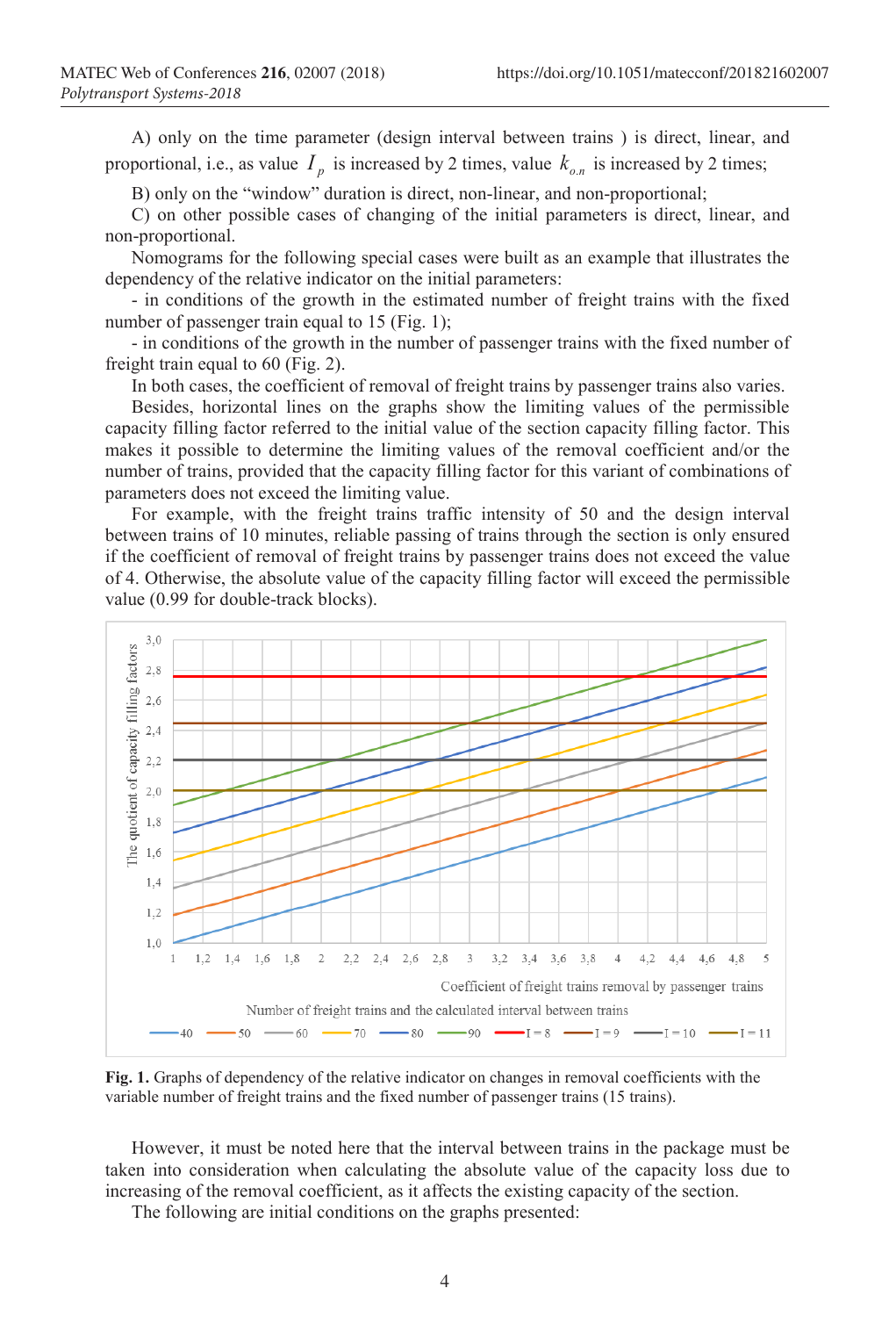А) only on the time parameter (design interval between trains ) is direct, linear, and proportional, i.e., as value  $I_n$  is increased by 2 times, value  $k_{on}$  is increased by 2 times;

B) only on the "window" duration is direct, non-linear, and non-proportional;

C) on other possible cases of changing of the initial parameters is direct, linear, and non-proportional.

Nomograms for the following special cases were built as an example that illustrates the dependency of the relative indicator on the initial parameters:

- in conditions of the growth in the estimated number of freight trains with the fixed number of passenger train equal to 15 (Fig. 1);

- in conditions of the growth in the number of passenger trains with the fixed number of freight train equal to 60 (Fig. 2).

In both cases, the coefficient of removal of freight trains by passenger trains also varies.

Besides, horizontal lines on the graphs show the limiting values of the permissible capacity filling factor referred to the initial value of the section capacity filling factor. This makes it possible to determine the limiting values of the removal coefficient and/or the number of trains, provided that the capacity filling factor for this variant of combinations of parameters does not exceed the limiting value.

For example, with the freight trains traffic intensity of 50 and the design interval between trains of 10 minutes, reliable passing of trains through the section is only ensured if the coefficient of removal of freight trains by passenger trains does not exceed the value of 4. Otherwise, the absolute value of the capacity filling factor will exceed the permissible value (0.99 for double-track blocks).



**Fig. 1.** Graphs of dependency of the relative indicator on changes in removal coefficients with the variable number of freight trains and the fixed number of passenger trains (15 trains).

However, it must be noted here that the interval between trains in the package must be taken into consideration when calculating the absolute value of the capacity loss due to increasing of the removal coefficient, as it affects the existing capacity of the section.

The following are initial conditions on the graphs presented: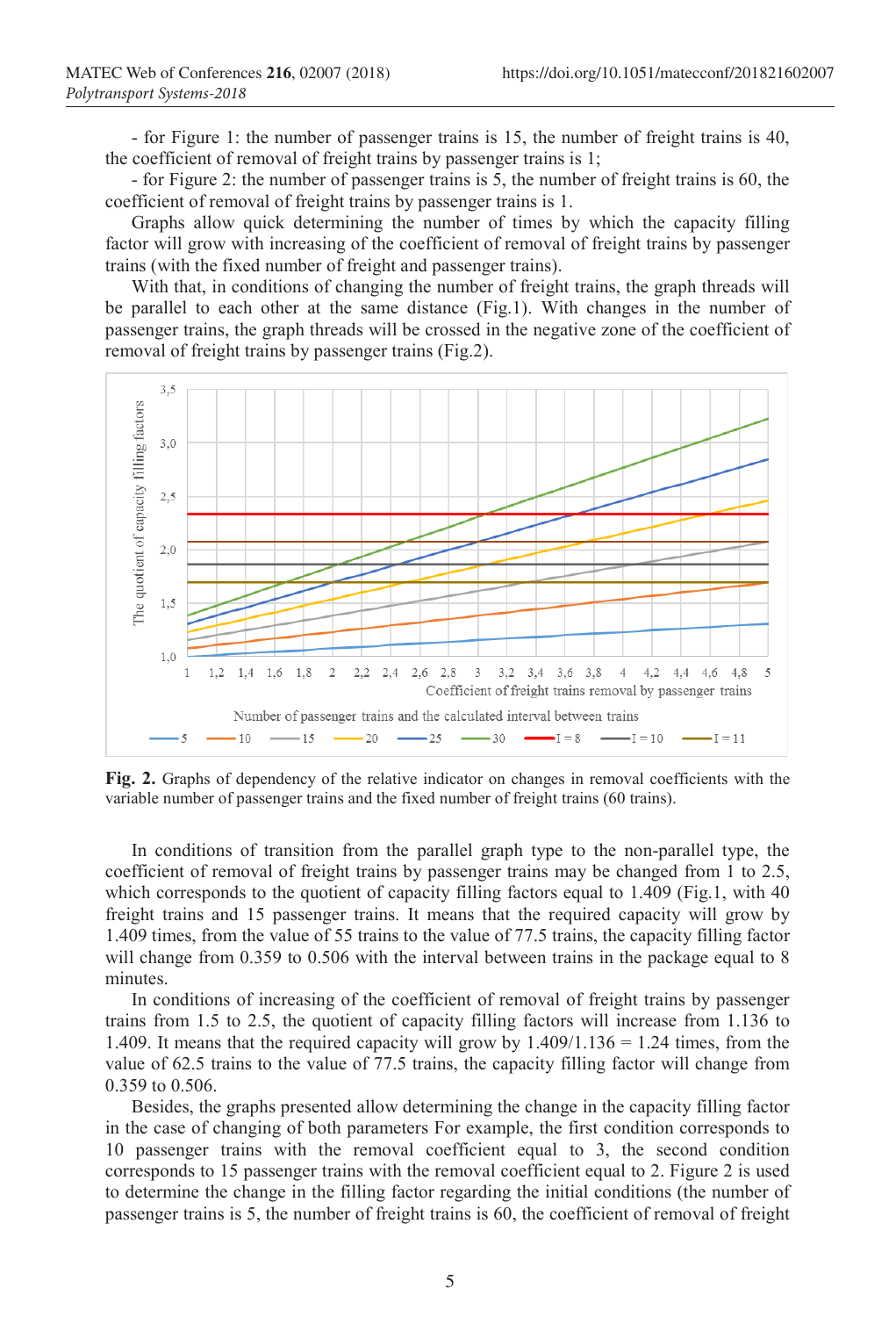- for Figure 1: the number of passenger trains is 15, the number of freight trains is 40, the coefficient of removal of freight trains by passenger trains is 1;

- for Figure 2: the number of passenger trains is 5, the number of freight trains is 60, the coefficient of removal of freight trains by passenger trains is 1.

Graphs allow quick determining the number of times by which the capacity filling factor will grow with increasing of the coefficient of removal of freight trains by passenger trains (with the fixed number of freight and passenger trains).

With that, in conditions of changing the number of freight trains, the graph threads will be parallel to each other at the same distance (Fig.1). With changes in the number of passenger trains, the graph threads will be crossed in the negative zone of the coefficient of removal of freight trains by passenger trains (Fig.2).



**Fig. 2.** Graphs of dependency of the relative indicator on changes in removal coefficients with the variable number of passenger trains and the fixed number of freight trains (60 trains).

In conditions of transition from the parallel graph type to the non-parallel type, the coefficient of removal of freight trains by passenger trains may be changed from 1 to 2.5, which corresponds to the quotient of capacity filling factors equal to 1.409 (Fig.1, with 40 freight trains and 15 passenger trains. It means that the required capacity will grow by 1.409 times, from the value of 55 trains to the value of 77.5 trains, the capacity filling factor will change from 0.359 to 0.506 with the interval between trains in the package equal to 8 minutes.

In conditions of increasing of the coefficient of removal of freight trains by passenger trains from 1.5 to 2.5, the quotient of capacity filling factors will increase from 1.136 to 1.409. It means that the required capacity will grow by  $1.409/1.136 = 1.24$  times, from the value of 62.5 trains to the value of 77.5 trains, the capacity filling factor will change from 0.359 to 0.506.

Besides, the graphs presented allow determining the change in the capacity filling factor in the case of changing of both parameters For example, the first condition corresponds to 10 passenger trains with the removal coefficient equal to 3, the second condition corresponds to 15 passenger trains with the removal coefficient equal to 2. Figure 2 is used to determine the change in the filling factor regarding the initial conditions (the number of passenger trains is 5, the number of freight trains is 60, the coefficient of removal of freight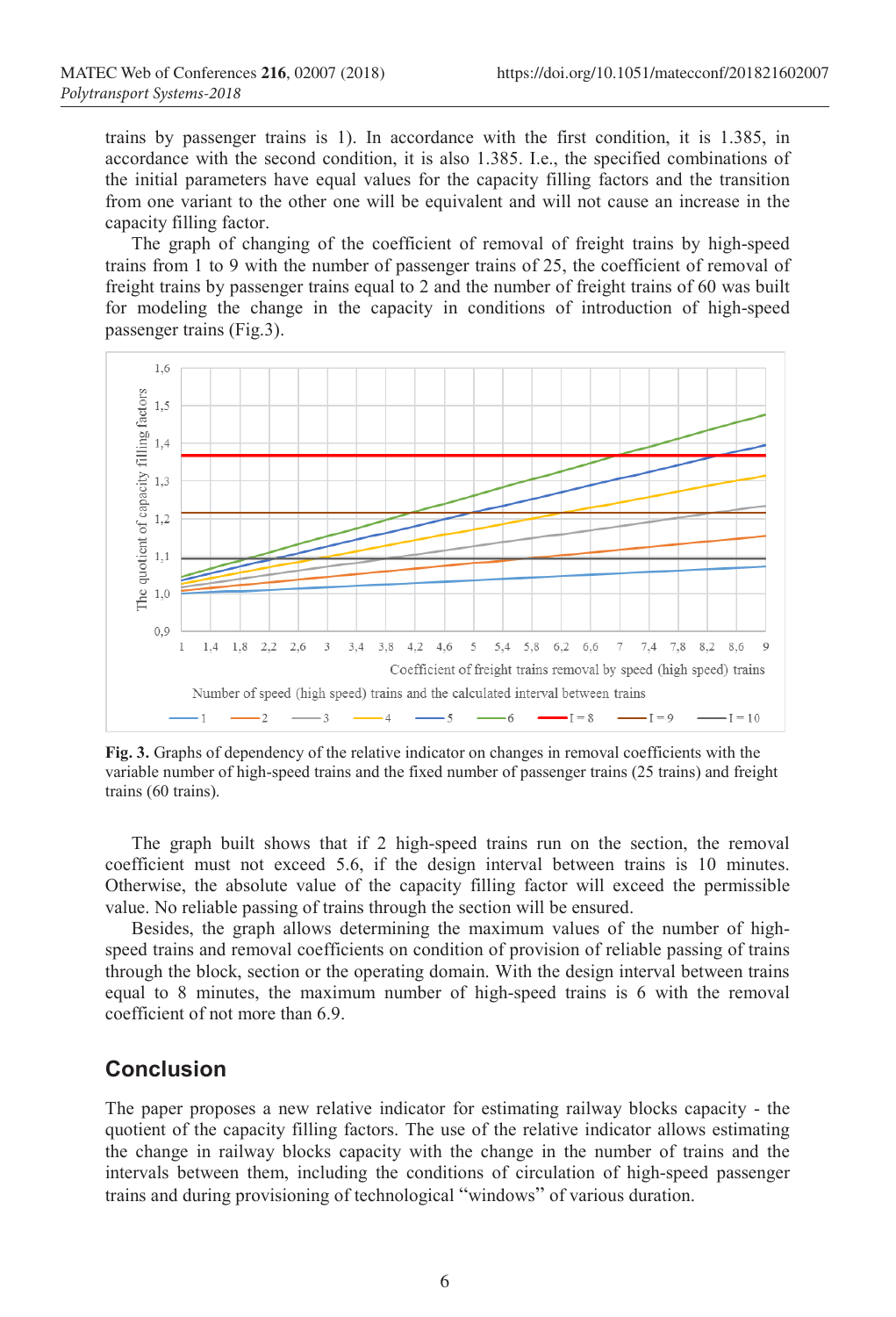trains by passenger trains is 1). In accordance with the first condition, it is 1.385, in accordance with the second condition, it is also 1.385. I.e., the specified combinations of the initial parameters have equal values for the capacity filling factors and the transition from one variant to the other one will be equivalent and will not cause an increase in the capacity filling factor.

The graph of changing of the coefficient of removal of freight trains by high-speed trains from 1 to 9 with the number of passenger trains of 25, the coefficient of removal of freight trains by passenger trains equal to 2 and the number of freight trains of 60 was built for modeling the change in the capacity in conditions of introduction of high-speed passenger trains (Fig.3).



**Fig. 3.** Graphs of dependency of the relative indicator on changes in removal coefficients with the variable number of high-speed trains and the fixed number of passenger trains (25 trains) and freight trains (60 trains).

The graph built shows that if 2 high-speed trains run on the section, the removal coefficient must not exceed 5.6, if the design interval between trains is 10 minutes. Otherwise, the absolute value of the capacity filling factor will exceed the permissible value. No reliable passing of trains through the section will be ensured.

Besides, the graph allows determining the maximum values of the number of highspeed trains and removal coefficients on condition of provision of reliable passing of trains through the block, section or the operating domain. With the design interval between trains equal to 8 minutes, the maximum number of high-speed trains is 6 with the removal coefficient of not more than 6.9.

### **Conclusion**

The paper proposes a new relative indicator for estimating railway blocks capacity - the quotient of the capacity filling factors. The use of the relative indicator allows estimating the change in railway blocks capacity with the change in the number of trains and the intervals between them, including the conditions of circulation of high-speed passenger trains and during provisioning of technological "windows" of various duration.